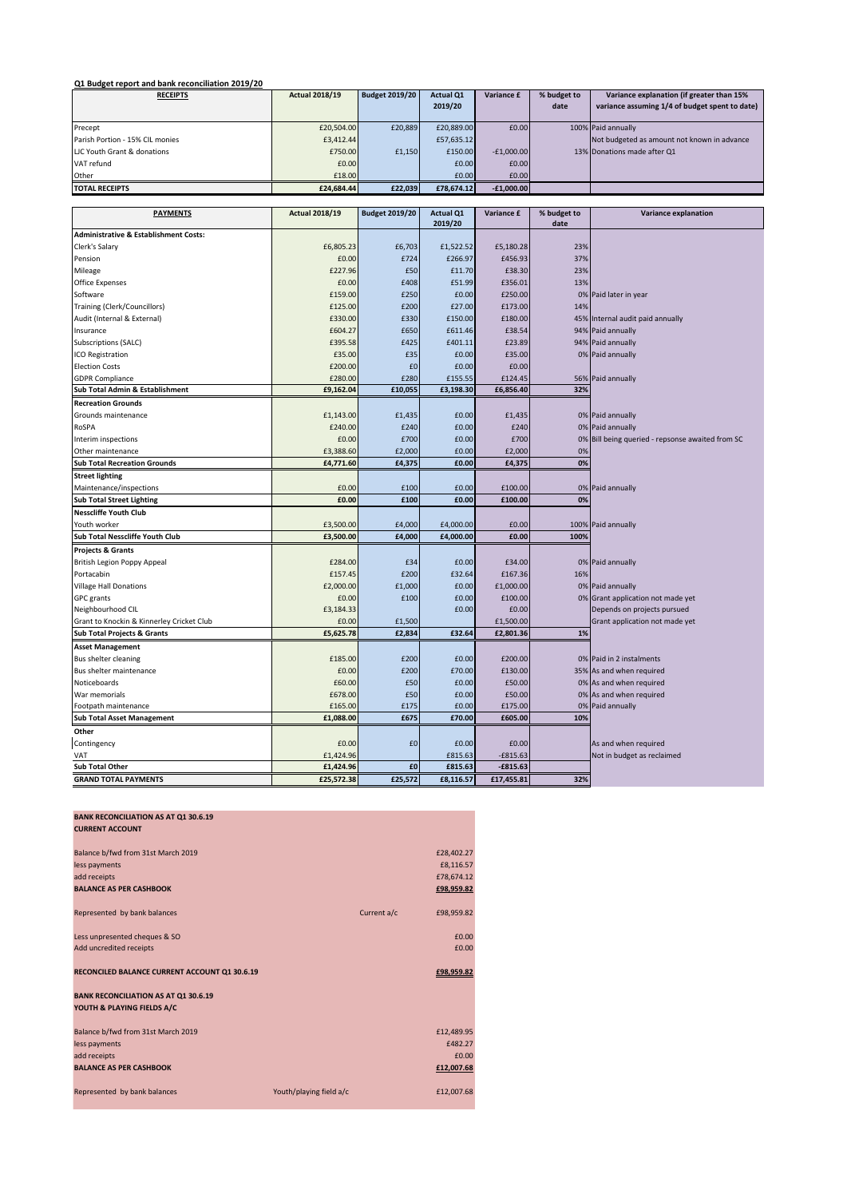**Q1 Budget report and bank reconciliation 2019/20**

| <b>RECEIPTS</b>                 | <b>Actual 2018/19</b> | <b>Budget 2019/20</b> | <b>Actual Q1</b> | Variance £   | % budget to | Variance explanation (if greater than 15%      |
|---------------------------------|-----------------------|-----------------------|------------------|--------------|-------------|------------------------------------------------|
|                                 |                       |                       | 2019/20          |              | date        | variance assuming 1/4 of budget spent to date) |
|                                 |                       |                       |                  |              |             |                                                |
| Precept                         | £20,504.00            | £20.889               | £20,889,00       | £0.00        |             | 100% Paid annually                             |
| Parish Portion - 15% CIL monies | £3,412.44             |                       | £57.635.12       |              |             | Not budgeted as amount not known in advance    |
| LIC Youth Grant & donations     | £750.00               | £1,150                | £150.00          | $-E1.000.00$ |             | 13% Donations made after Q1                    |
| VAT refund                      | £0.00                 |                       | £0.00            | £0.00        |             |                                                |
| Other                           | £18.00                |                       | £0.00            | £0.00        |             |                                                |
| <b>TOTAL RECEIPTS</b>           | £24.684.44            | £22,039               | £78.674.12       | $-E1,000.00$ |             |                                                |

| <b>PAYMENTS</b>                                  | <b>Actual 2018/19</b> | <b>Budget 2019/20</b> | <b>Actual Q1</b><br>2019/20 | Variance £ | % budget to<br>date | Variance explanation                          |  |
|--------------------------------------------------|-----------------------|-----------------------|-----------------------------|------------|---------------------|-----------------------------------------------|--|
| <b>Administrative &amp; Establishment Costs:</b> |                       |                       |                             |            |                     |                                               |  |
| Clerk's Salary                                   | £6,805.23             | £6,703                | £1,522.52                   | £5,180.28  | 23%                 |                                               |  |
| Pension                                          | £0.00                 | £724                  | £266.97                     | £456.93    | 37%                 |                                               |  |
| Mileage                                          | £227.96               | £50                   | £11.70                      | £38.30     | 23%                 |                                               |  |
| <b>Office Expenses</b>                           | £0.00                 | £408                  | £51.99                      | £356.01    | 13%                 |                                               |  |
| Software                                         | £159.00               | £250                  | £0.00                       | £250.00    | 0%                  | Paid later in year                            |  |
| <b>Training (Clerk/Councillors)</b>              | £125.00               | £200                  | £27.00                      | £173.00    | 14%                 |                                               |  |
| Audit (Internal & External)                      | £330.00               | £330                  | £150.00                     | £180.00    | 45%                 | Internal audit paid annually                  |  |
| Insurance                                        | £604.27               | £650                  | £611.46                     | £38.54     | 94%                 | Paid annually                                 |  |
| Subscriptions (SALC)                             | £395.58               | £425                  | £401.11                     | £23.89     | 94%                 | Paid annually                                 |  |
| ICO Registration                                 | £35.00                | £35                   | £0.00                       | £35.00     |                     | 0% Paid annually                              |  |
| <b>Election Costs</b>                            | £200.00               | £0                    | £0.00                       | £0.00      |                     |                                               |  |
| <b>GDPR Compliance</b>                           | £280.00               | £280                  | £155.55                     | £124.45    | 56%                 | Paid annually                                 |  |
| Sub Total Admin & Establishment                  | £9,162.04             | £10,055               | £3,198.30                   | £6,856.40  | 32%                 |                                               |  |
| <b>Recreation Grounds</b>                        |                       |                       |                             |            |                     |                                               |  |
| Grounds maintenance                              | £1,143.00             | £1,435                | £0.00                       | £1,435     |                     | 0% Paid annually                              |  |
| RoSPA                                            | £240.00               | £240                  | £0.00                       | £240       | 0%                  | Paid annually                                 |  |
| Interim inspections                              | £0.00                 | £700                  | £0.00                       | £700       | 0%                  | Bill being queried - repsonse awaited from SC |  |
| Other maintenance                                | £3,388.60             | £2,000                | £0.00                       | £2,000     | 0%                  |                                               |  |
| <b>Sub Total Recreation Grounds</b>              | £4,771.60             | £4,375                | £0.00                       | £4,375     | 0%                  |                                               |  |
| <b>Street lighting</b>                           |                       |                       |                             |            |                     |                                               |  |
| Maintenance/inspections                          | £0.00                 | £100                  | £0.00                       | £100.00    |                     | 0% Paid annually                              |  |
| <b>Sub Total Street Lighting</b>                 | £0.00                 | £100                  | £0.00                       | £100.00    | 0%                  |                                               |  |
| <b>Nesscliffe Youth Club</b>                     |                       |                       |                             |            |                     |                                               |  |
| Youth worker                                     | £3,500.00             | £4,000                | £4,000.00                   | £0.00      |                     | 100% Paid annually                            |  |
| Sub Total Nesscliffe Youth Club                  | £3,500.00             | £4,000                | £4,000.00                   | £0.00      | 100%                |                                               |  |
| <b>Projects &amp; Grants</b>                     |                       |                       |                             |            |                     |                                               |  |
| <b>British Legion Poppy Appeal</b>               | £284.00               | £34                   | £0.00                       | £34.00     |                     | 0% Paid annually                              |  |
| Portacabin                                       | £157.45               | £200                  | £32.64                      | £167.36    | 16%                 |                                               |  |
| <b>Village Hall Donations</b>                    | £2,000.00             | £1,000                | £0.00                       | £1,000.00  |                     | 0% Paid annually                              |  |
| <b>GPC</b> grants                                | £0.00                 | £100                  | £0.00                       | £100.00    | 0%                  | Grant application not made yet                |  |
| Neighbourhood CIL                                | £3,184.33             |                       | £0.00                       | £0.00      |                     | Depends on projects pursued                   |  |
| Grant to Knockin & Kinnerley Cricket Club        | £0.00                 | £1,500                |                             | £1,500.00  |                     | Grant application not made yet                |  |
| <b>Sub Total Projects &amp; Grants</b>           | £5,625.78             | £2,834                | £32.64                      | £2,801.36  | 1%                  |                                               |  |
| <b>Asset Management</b>                          |                       |                       |                             |            |                     |                                               |  |
| Bus shelter cleaning                             | £185.00               | £200                  | £0.00                       | £200.00    |                     | 0% Paid in 2 instalments                      |  |
| Bus shelter maintenance                          | £0.00                 | £200                  | £70.00                      | £130.00    |                     | 35% As and when required                      |  |
| Noticeboards                                     | £60.00                | £50                   | £0.00                       | £50.00     |                     | 0% As and when required                       |  |
| War memorials                                    | £678.00               | £50                   | £0.00                       | £50.00     |                     | 0% As and when required                       |  |
| Footpath maintenance                             | £165.00               | £175                  | £0.00                       | £175.00    | 0%                  | Paid annually                                 |  |
| <b>Sub Total Asset Management</b>                | £1,088.00             | £675                  | £70.00                      | £605.00    | 10%                 |                                               |  |
| Other                                            |                       |                       |                             |            |                     |                                               |  |
| Contingency                                      | £0.00                 | £0                    | £0.00                       | £0.00      |                     | As and when required                          |  |
| VAT                                              | £1,424.96             |                       | £815.63                     | $-£815.63$ |                     | Not in budget as reclaimed                    |  |
| <b>Sub Total Other</b>                           | £1,424.96             | £0                    | £815.63                     | $-£815.63$ |                     |                                               |  |
| <b>GRAND TOTAL PAYMENTS</b>                      | £25,572.38            | £25,572               | £8,116.57                   | £17,455.81 | 32%                 |                                               |  |

## **BANK RECONCILIATION AS AT Q1 30.6.19 CURRENT ACCOUNT**  Balance b/fwd from 31st March 2019<br>Less payments **E28,402.27**<br>E8,116.57 £8,116.57 less payments  $\epsilon$ 8,116.57 $\epsilon$ add receipts **£78,674.12** and the control of the control of the control of the control of the control of the control of the control of the control of the control of the control of the control of the control of the control **BALANCE AS PER CASHBOOK £98,959.82** Represented by bank balances **Current a** Current a/c **£98,959.82** Less unpresented cheques & SO £0.00 Add uncredited receipts  $\overline{20.00}$ **RECONCILED BALANCE CURRENT ACCOUNT Q1 30.6.19 <b>EDGES AND RECONCILED BALANCE CURRENT ACCOUNT Q1 30.6.19 BANK RECONCILIATION AS AT Q1 30.6.19 YOUTH & PLAYING FIELDS A/C** Balance b/fwd from 31st March 2019<br>Less payments **E482.27** less payments add receipts  $\overline{0.00}$ **BALANCE AS PER CASHBOOK £12,007.68** Represented by bank balances **Youth/playing field a/c** £12,007.68